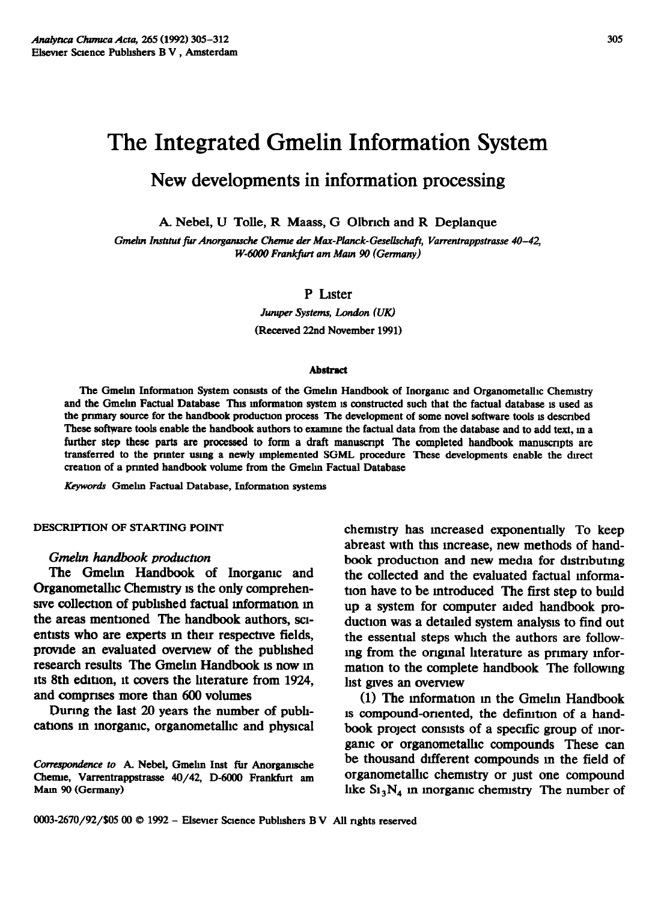# The Integrated Gmelin Information System

## **New developments in information processing**

A. Nebel, U Tolle, R Maass, G Olbrich and R Deplanque

Gmelin Institut für Anorganische Chemie der Max-Planck-Gesellschaft, Varrentrappstrasse 40-42, *W-6000 Frankfurt am Main 90 (Germany)* 

#### P Lister

Juruper **Systems, London (UK) (Recewed 22nd November 1991)** 

#### **Ahstract**

The Gmelin Information System consists of the Gmelin Handbook of Inorganic and Organometallic Chemistry and the Gmelin Factual Database This information system is constructed such that the factual database is used as the primary source for the handbook production process The development of some novel software tools is described These software tools enable the handbook authors to examine the factual data from the database and to add text, in a further step these parts are processed to form a draft manuscript. The completed handbook manuscripts are **transferred to the prmter usmg a newly unplemented SGML procedure These developments enable the duect creation of a prmted handbook volume from the Gmelm Factual Database** 

**&words Gmelm Factual Database, Information systems** 

**DESCRIPTION OF STARTING POINT** 

#### *Gnaelan handbook productwn*

*The Gmelm* Handbook of Inorgamc and Organometalhc Chermstry 1s the only comprehensive collection of published factual information in the areas mentioned The handbook authors, sclentists who are experts in their respective fields. provide an evaluated overview of the published research results The Gmehn Handbook 1s now m its 8th edition, it covers the literature from 1924, and comprises more than 600 volumes

Durmg the last 20 years the number of pubhcations in inorganic, organometallic and physical chemistry has increased exponentially To keep abreast with this mcrease, new methods of handbook production and new media for distributing the collected and the evaluated factual mformation have to be introduced The first step to build up a system for computer alded handbook production was a detaded system analysis to find out the essential steps whrch the authors are followmg from the ongmal hterature as prnnary mformation to the complete handbook The following hst gves an overylew

(1) The information in the Gmelin Handbook IS compound-onented, the defmtlon of a handbook project consists of a spectic group of morgame or organometalhc compounds These can be thousand drfferent compounds m the field of organometallic chemistry or just one compound like  $Si<sub>3</sub>N<sub>4</sub>$  in inorganic chemistry. The number of

Correspondence to A. Nebel, Gmelin Inst für Anorganische **Chenue, Varrentrappstrasse 40/42, D-6000 Frankfurt am Mam 90 (Germany)**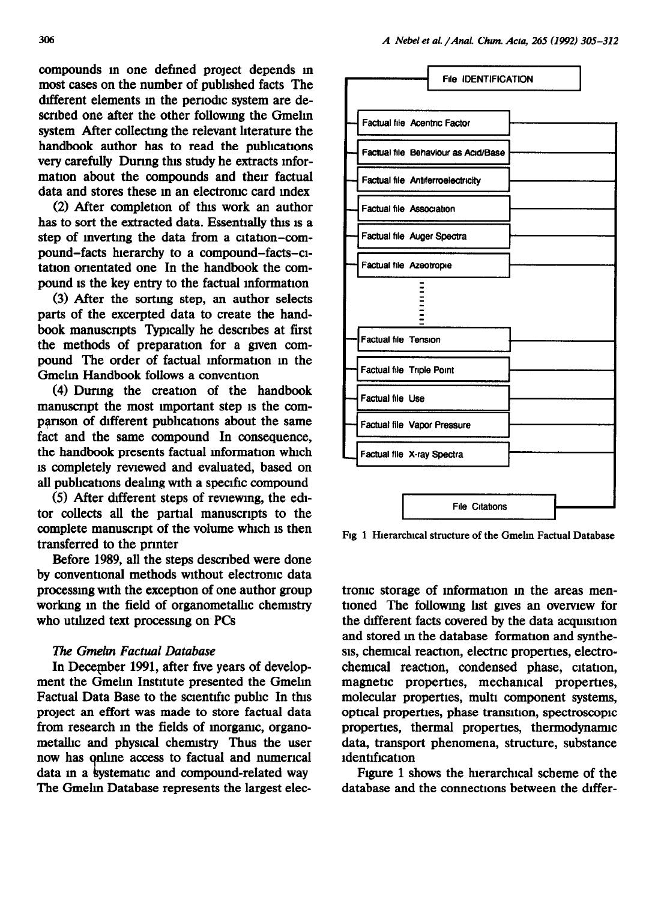compounds m one defined project depends m most cases on the number of pubhshed facts The different elements in the periodic system are described one after the other followmg the Gmelm system After collectmg the relevant hterature the handbook author has to read the publications very carefully Durmg this study he extracts mformation about the compounds and their factual data and stores these m an electromc card mdex

(2) After completion of this work an author has to sort the extracted data. Essentially this is a step of mvertmg the data from a citation-compound-facts hierarchy to a compound-facts-atation orientated one In the handbook the compound 1s the key entry to the factual mformatlon

(3) After the sortmg step, an author selects parts of the excerpted data to create the handbook manuscripts Typically he describes at first the methods of preparation for a gven compound The order of factual mformatlon m the Gmelin Handbook follows a convention

(4) Durmg the creation of the handbook manuscript the most important step 1s the comparison of different publications about the same fact and the same compound In consequence, the handbook presents factual information which 1s completely reviewed and evaluated, based on all publications dealing with a specific compound

 $(5)$  After different steps of reviewing, the editor collects all the partial manuscripts to the complete manuscript of the volume which 1s then transferred to the prmter

Before 1989, all the steps described were done by conventional methods without electronic data processing with the exception of one author group working in the field of organometallic chemistry who utilized text processing on PCs

#### The *Gmeh Factual Database*

In December 1991, after five years of development the Gmelm Instrtute presented the Gmelm Factual Data Base to the screntrfic public In this project an effort was made to store factual data from research m the fields of morgamc, organometalhc and physlcal chenustry Thus the user now has online access to factual and numerical data in a systematic and compound-related way The Gmelin Database represents the largest elec-



Fig 1 Hierarchical structure of the Gmelin Factual Database

tronic storage of information in the areas mentioned The following list gives an overview for the different facts covered by the data acquisition and stored in the database formation and synthesis, chemical reaction, electric properties, electrochenucal reaction, condensed phase, citation, magnetic properties, mechamcal properties, molecular properties, multi component systems, optical properties, phase transition, spectroscopic propertles, thermal properties, thermodynanuc data, transport phenomena, structure, substance ldentlflcatlon

Figure 1 shows the hierarchical scheme of the database and the connections between the differ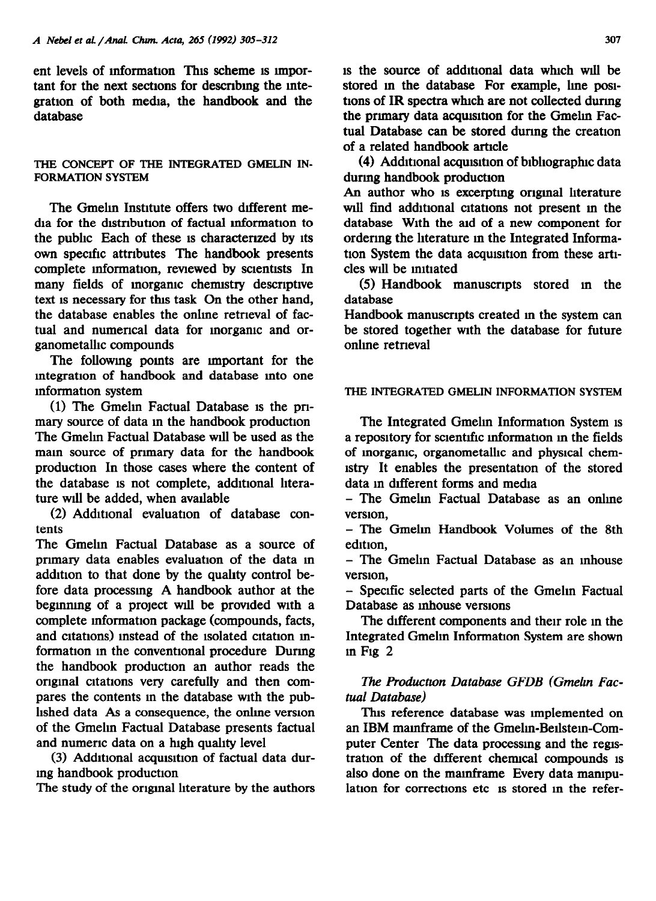ent levels of information This scheme is important for the next sections for descrrbmg the mtegration of both media, the handbook and the database

#### THE **CONCEPT OF THE INTEGRATED GMELIN IN-FORMATION SYSTEM**

The Gmelin Institute offers two different media for the dlstnbutron of factual mformatlon to the public Each of these 1s characterrzed by Its own specific attnbutes The handbook presents complete information, reviewed by scientists In many fields of morgamc chermstry descriptive text 1s necessary for this task On the other hand, the database enables the online retrieval of factual and numerical data for morgamc and organometalhc compounds

The following points are important for the mtegratlon of handbook and database mto one mformation system

(1) The Gmelm Factual Database 1s the pnmary source of data m the handbook production The Gmelin Factual Database will be used as the mam source of prnnary data for the handbook production In those cases where the content of the database 1s not complete, additional hterature will be added, when available

(2) Additional evaluation of database contents

The Gmelm Factual Database as a source of primary data enables evaluation of the data in addition to that done by the quahty control before data processmg A handbook author at the beginning of a project will be provided with a complete mformatlon package (compounds, facts, and citations) instead of the isolated citation information m the conventional procedure Durmg the handbook production an author reads the ongmal citations very carefully and then compares the contents m the database with the published data As a consequence, the onlme version of the Gmehn Factual Database presents factual and numeric data on a high quality level

(3) Additional acquisition of factual data durmg handbook production

The study of the ongmal hterature by the authors

1s the source of additional data which will be stored in the database For example, line positions of IR spectra which are not collected during the primary data acquisition for the Gmelin Factual Database can be stored durmg the creation of a related handbook article

(4) Additional acquisition of bibliographic data durmg handbook production

An author who is excerpting original literature wdl find additional citations not present m the database With the aid of a new component for ordermg the literature m the Integrated Information System the data acquisition from these artlcles will be initiated

(5) Handbook manuscripts stored in the database

Handbook manuscripts created m the system can be stored together with the database for future onlme retneval

## **THE INTEGRATED GMELIN INFORMATION SYSTEM**

The Integrated Gmelm Information System 1s a repository for scientific information in the fields of morgamc, organometalhc and physical chemistry It enables the presentation of the stored data in different forms and media

- The Gmelm Factual Database as an online version,

- The Gmelm Handbook Volumes of the 8th edition.

- The Gmehn Factual Database as an mhouse version,

- Specific selected parts of the Gmehn Factual Database as mhouse versions

The different components and their role in the Integrated Gmehn Information System are shown m Fig 2

## *l%e Productwn Database GFDB (Gmeitn Factual Database)*

This reference database was implemented on an IBM mamframe of the Gmelm-Bellstem-Computer Center The data processing and the registration of the different chemical compounds is also done on the mainframe Every data mampulation for corrections etc is stored in the refer-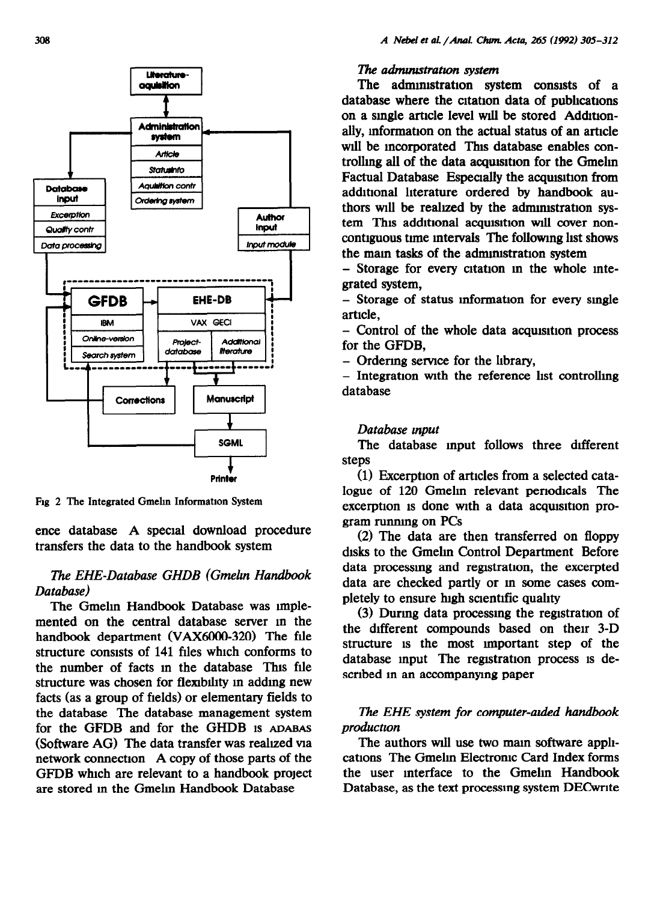

Fig *2 The* Integrated Gmelm Information System

ence database A special download procedure transfers the data to the handbook system

## *The EHE-Database GHDB (Gmelm Handbook Database)*

*The* Gmehn Handbook Database was nnplemented on the central database server m the handbook department WAX6000-320) The file structure consists of 141 files which conforms to the number of facts m the database This file structure was chosen for flexibility in adding new facts (as a group of fields) or elementary fields to the database The database management system for the GFDB and for the GHDB 1s ADABAS (Software AG) The data transfer was reahzed via network connection A copy of those parts of the GFDB which are relevant to a handbook project are stored m the Gmelm Handbook Database

#### l7t.e *adinuustratwn system*

*The* administration system consists of a database where the citation data of pubhcations on a single article level will be stored Additionally, information on the actual status of an article will be incorporated This database enables controlling all of the data acquisition for the Gmelin Factual Database Especially the acquisition from additional literature ordered by handbook authors will be reahzed by the adnumstratlon system This additional acquisition will cover noncontiguous tnne mtervals The followmg list shows the main tasks of the administration system

- Storage for every cltatlon m the whole mtegrated system,

- Storage of status information for every smgle article,

- Control of the whole data acquisition process for the GFDB,

- Ordermg **serylce** for the library,

 $-$  Integration with the reference list controlling database

### *Database mput*

*The* database mput follows three different steps

(1) Excerption of articles from a selected catalogue of 120 Gmelm relevant periodicals The excerption is done with a data acquisition program runnmg on PCs

(2) The data are then transferred on floppy disks to the Gmelin Control Department Before data processmg and registration, the excerpted data are checked partly or m some cases completely to ensure high scientific quality

(3) Durmg data processmg the registration of the different compounds based on then 3-D structure 1s the most unportant step of the database input The registration process is described in an accompanying paper

## *iThe EHE system for computer-auied handbook productwn*

The authors will use two main software applications The Gmelm Electronic Card Index forms the user mterface to the Gmehn Handbook Database, as the text processing system DEC write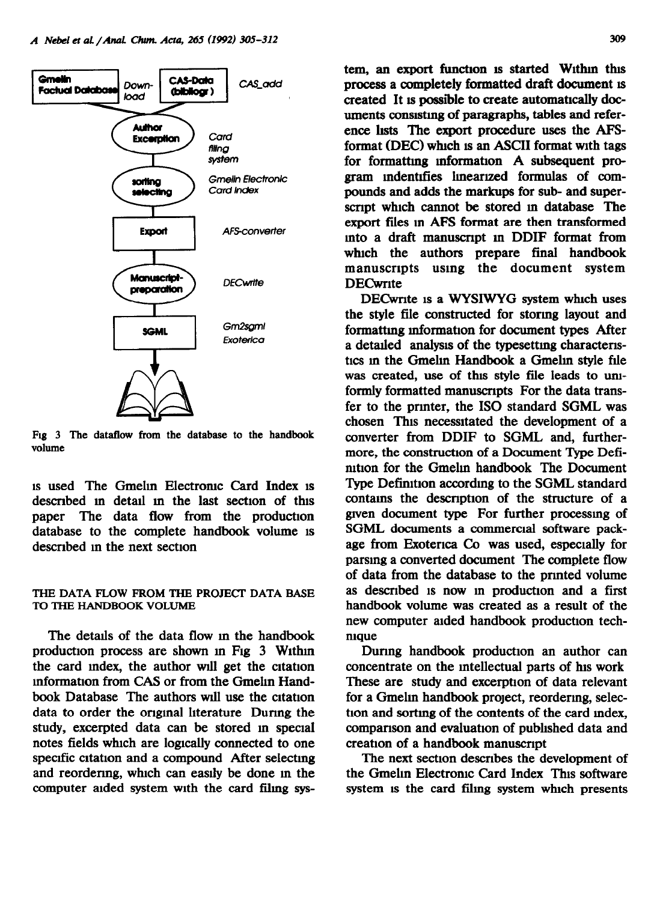

Fig 3 The dataflow from the database to the handbook **volume** 

1s used The Gmelm Electromc Card Index IS described in detail in the last section of this paper The data flow from the production database to the complete handbook volume IS described m the next section

#### **THE DATA FLOW FROM THE PROJECT DATA BASE TO THE HANDBOOK VOLUME**

The details of the data flow in the handbook production process are shown m Fig 3 Wlthm the card index, the author will get the citation mformation from CAS or from the Gmelm Handbook Database. The authors will use the citation data to order the ongmal literature Durmg the study, excerpted data can be stored m special notes fields which are logically connected to one specific citation and a compound After selecting and reordering, which can easily be done in the computer aided system with the card filmg system, an export function is started Within this process a completely formatted draft document IS created It is possible to create automatically documents consutmg of paragraphs, tables and reference hsts The export procedure uses the AFSformat (DEC) which is an ASCII format with tags for formattmg mformafion A subsequent program mdentfies lmeanzed formulas of compounds and adds the markups for sub- and superscript which cannot be stored in database The export files m AFS format are then transformed mto a draft manuscnpt m DDIF format from which the authors prepare final handbook manuscrrpts using the document system **DECwrite** 

DECwrite is a WYSIWYG system which uses the style file constructed for stormg layout and formattmg mformation for document types After a detailed analysis of the typesetting characteristics m the Gmelm Handbook a Gmelm style file was created, use of this style file leads to umformly formatted manuscripts For the data transfer to the prmter, the IS0 standard SGML was chosen This necessitated the development of a converter from DDIF to SGML and, furthermore, the construction of a Document Type Definttion for the Gmelin handbook The Document Type Definition accordmg to the SGML standard contains the description of the structure of a grven document type For further processmg of SGML documents a commercial software package from Exotenca Co was used, especially for parsmg a converted document The complete flow of data from the database to the prmted volume as described 1s now m production and a first handbook volume was created as a result of the new computer aided handbook production technique

Durmg handbook production an author can concentrate on the intellectual parts of his work These are study and excerption of data relevant for a Gmelm handbook project, reordermg, selection and sorting of the contents of the card index, comparison and evaluation of published data and creation of a handbook manuscnpt

The next section describes the development of the Gmelin Electronic Card Index This software system 1s the card filmg system which presents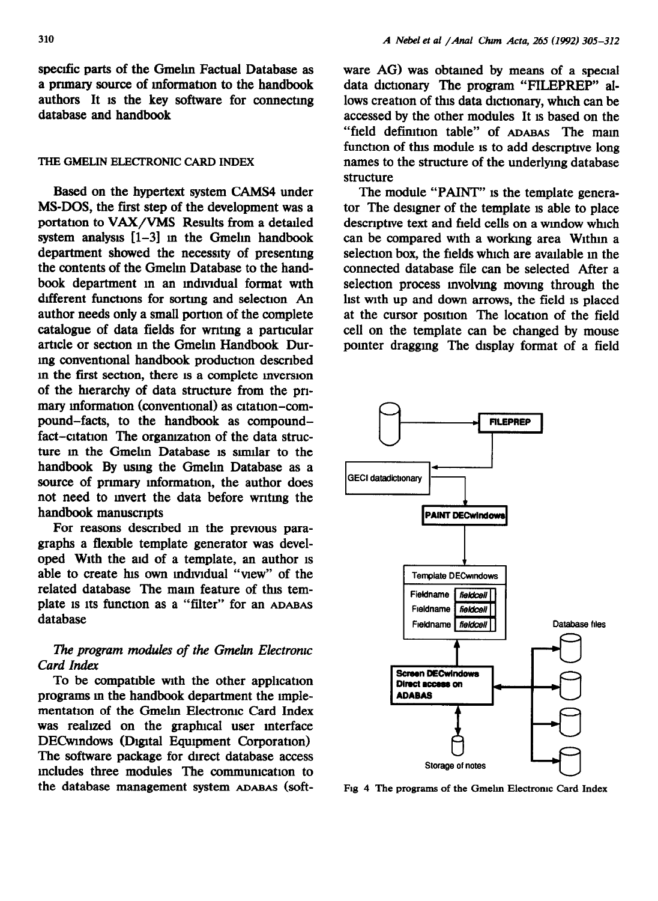specific parts of the Gmelin Factual Database as a primary source of information to the handbook authors It 1s the key software for connectmg database and handbook

#### **THE GMELJN ELECI'RONIC CARD INDEX**

Based on the hypertext system CAMS4 under MS-DOS, the first step of the development was a portation to VAX/VMS Results from a detailed system analysis  $[1-3]$  in the Gmelin handbook department showed the necessity of presentmg the contents of the Gmelm Database to the handbook department in an individual format with different functions for sorting and selection An author needs only a small portion of the complete catalogue of data fields for writing a particular article or section m the Gmelm Handbook Durmg conventional handbook production described m the first section, there IS a complete mverslon of the hierarchy of data structure from the pnmary information (conventional) as citation-compound-facts, to the handbook as compoundfact-citation The organization of the data structure m the Gmelm Database 1s sumlar to the handbook By usmg the Gmehn Database as a source of primary information, the author does not need to mvert the data before wntmg the handbook manuscripts

For reasons described in the previous paragraphs a flemble template generator was developed With the aid of a template, an author 1s able to create his own individual "view" of the related database The main feature of this template is Its function as a "filter" for an ADABAS database

#### The program modules of the Gmelin Electronic *Card Index*

To be compatible with the other apphcatlon programs in the handbook department the implementation of the Gmelin Electronic Card Index was realized on the graphical user interface DECwindows (Digital Equipment Corporation) The software package for direct database access mcludes three modules The commumcatlon to the database management system ADABAS (software AG) was obtained by means of a special data dictionary The program "FILEPREP" allows creation of this data dictionary, which can be accessed by the other modules It 1s based on the "field definition table" of ADABAS The main function of this module is to add descriptive long names to the structure of the underlymg database structure

The module "PAINT" is the template generator The designer of the template 1s able to place descriptive text and field cells on a window which can be compared with a working area Within a selection box, the fields which are available m the connected database file can be selected After a selection process mvolvmg movmg through the list wth up and down arrows, the field 1s placed at the cursor position. The location of the field cell on the template can be changed by mouse pointer dragging The display format of a field



**Fig** *4 The* programs **of the Gmelm Electromc Card Index**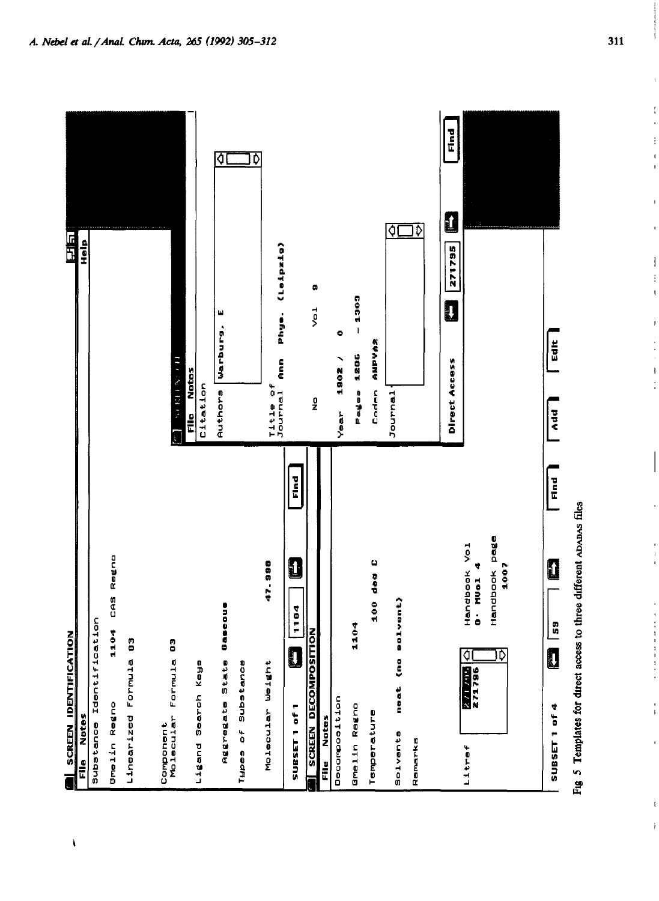| <b>CATION</b><br>SCREEN IDENTIFI                                                                         | 同盟                                                                                    |
|----------------------------------------------------------------------------------------------------------|---------------------------------------------------------------------------------------|
| <b>Notes</b><br>E<br>E                                                                                   | dien                                                                                  |
| fication<br>Substance Identi                                                                             |                                                                                       |
| CAS Regno<br>1104<br><b>Greiin</b> Regno                                                                 |                                                                                       |
| Linearized Formula 03                                                                                    |                                                                                       |
|                                                                                                          |                                                                                       |
| ő<br>Component<br>Molecular Formula                                                                      | The Same of                                                                           |
| $\frac{0}{2}$<br>Ligand Search Ke                                                                        | File Notes<br>Citation                                                                |
| Gaseus<br>Aggregate State                                                                                | ₫<br>щ<br>warburg.<br><b>Authors</b>                                                  |
| Types of Substance                                                                                       |                                                                                       |
| 47.988<br>بو<br>م<br>Molecular Weig                                                                      | ₿<br>(Leipzig)<br>i<br>Physi<br>E<br>$\overset{\bullet}{\bullet}$<br>Journal<br>Title |
| Find<br>Û<br>1104<br>D<br>SUBSET 1 of 1                                                                  |                                                                                       |
| <b>NOILISO AMODED NEEDS</b>                                                                              | ۰<br>ر<br>پر<br>$\frac{0}{Z}$                                                         |
| Decomposition<br>File Notes                                                                              | ۰<br>1902 /<br>Year                                                                   |
| 1104<br><b>Gmelin</b> Regno                                                                              | $-1302$<br>1286<br>peges<br>P                                                         |
| 100 deg C<br>Temperature                                                                                 | <b>ANPYAZ</b><br>Coden                                                                |
| (no solvent)<br>neat<br>Solvents                                                                         | ٥ļ<br>Journal                                                                         |
| Remarks                                                                                                  | ⊽                                                                                     |
|                                                                                                          | Find<br>$\blacksquare$<br>271795<br>IJ<br>Direct Access                               |
| pago<br>Handbook Yol<br>1007<br>4<br>Handbook<br>Mual<br>$\ddot{\bullet}$<br>ঢ়<br>₫<br>271796<br>Litref |                                                                                       |
|                                                                                                          |                                                                                       |
| Find<br>0<br>59<br>IJ<br>SUBSET 1 of 4                                                                   | Edit<br>Add                                                                           |



 $\pmb{\mathcal{N}}$